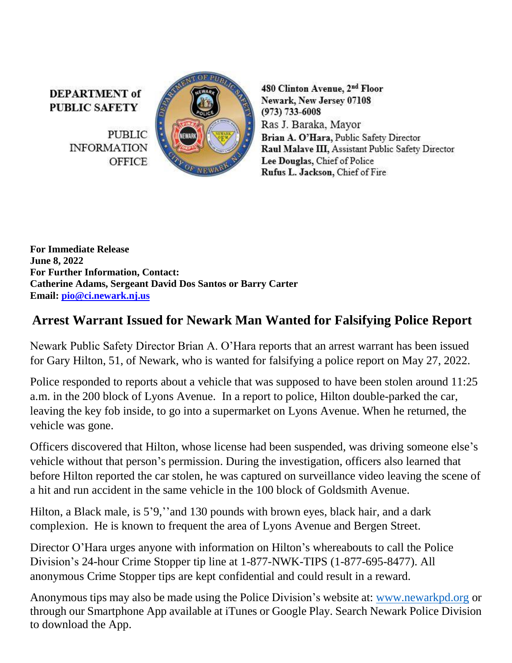**DEPARTMENT** of **PUBLIC SAFETY** 

> **PUBLIC INFORMATION OFFICE**



480 Clinton Avenue, 2nd Floor Newark, New Jersey 07108  $(973) 733 - 6008$ Ras J. Baraka, Mayor Brian A. O'Hara, Public Safety Director Raul Malave III, Assistant Public Safety Director Lee Douglas, Chief of Police Rufus L. Jackson, Chief of Fire

**For Immediate Release June 8, 2022 For Further Information, Contact: Catherine Adams, Sergeant David Dos Santos or Barry Carter Email: [pio@ci.newark.nj.us](mailto:pio@ci.newark.nj.us)**

## **Arrest Warrant Issued for Newark Man Wanted for Falsifying Police Report**

Newark Public Safety Director Brian A. O'Hara reports that an arrest warrant has been issued for Gary Hilton, 51, of Newark, who is wanted for falsifying a police report on May 27, 2022.

Police responded to reports about a vehicle that was supposed to have been stolen around 11:25 a.m. in the 200 block of Lyons Avenue. In a report to police, Hilton double-parked the car, leaving the key fob inside, to go into a supermarket on Lyons Avenue. When he returned, the vehicle was gone.

Officers discovered that Hilton, whose license had been suspended, was driving someone else's vehicle without that person's permission. During the investigation, officers also learned that before Hilton reported the car stolen, he was captured on surveillance video leaving the scene of a hit and run accident in the same vehicle in the 100 block of Goldsmith Avenue.

Hilton, a Black male, is 5'9, "and 130 pounds with brown eyes, black hair, and a dark complexion. He is known to frequent the area of Lyons Avenue and Bergen Street.

Director O'Hara urges anyone with information on Hilton's whereabouts to call the Police Division's 24-hour Crime Stopper tip line at 1-877-NWK-TIPS (1-877-695-8477). All anonymous Crime Stopper tips are kept confidential and could result in a reward.

Anonymous tips may also be made using the Police Division's website at: [www.newarkpd.org](https://nam11.safelinks.protection.outlook.com/?url=http%3A%2F%2Fwww.newarkpd.org%2F&data=04%7C01%7Ccarterba%40ci.newark.nj.us%7C92a82169bcc34f83ddaf08d9c4a7e14f%7C24883a20af7b4ead9b4c900a20da8933%7C0%7C0%7C637757047590426713%7CUnknown%7CTWFpbGZsb3d8eyJWIjoiMC4wLjAwMDAiLCJQIjoiV2luMzIiLCJBTiI6Ik1haWwiLCJXVCI6Mn0%3D%7C3000&sdata=jra6I1QGnzC3%2B2Pn2AXVyJZGuCjfTChzSjpqOMvnEAs%3D&reserved=0) or through our Smartphone App available at iTunes or Google Play. Search Newark Police Division to download the App.